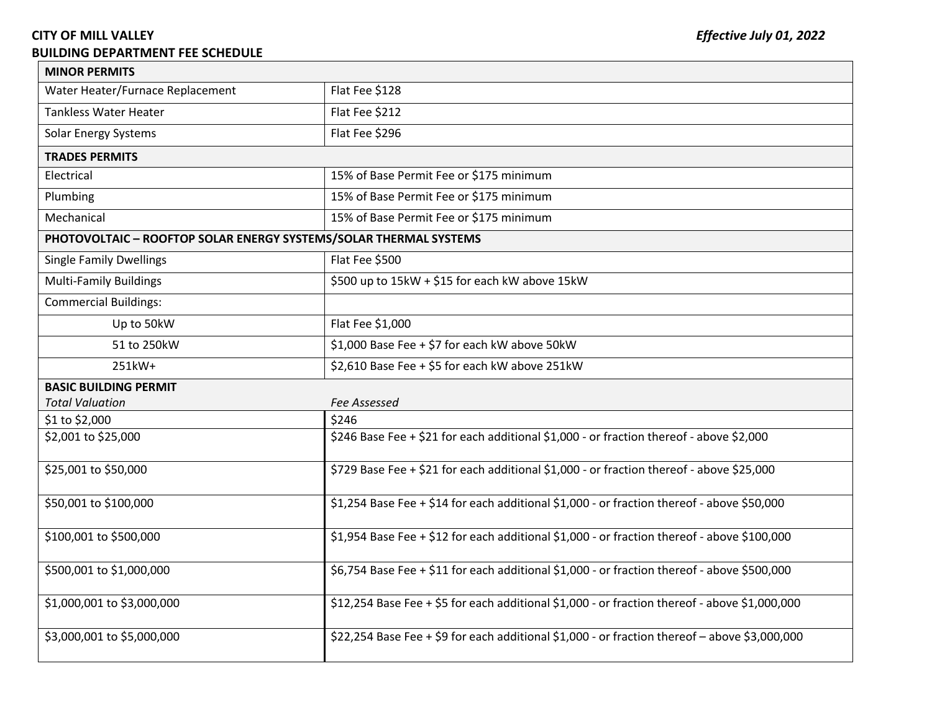## **BUILDING DEPARTMENT FEE SCHEDULE**

| <b>MINOR PERMITS</b>                                              |                                                                                               |  |
|-------------------------------------------------------------------|-----------------------------------------------------------------------------------------------|--|
| Water Heater/Furnace Replacement                                  | Flat Fee \$128                                                                                |  |
| <b>Tankless Water Heater</b>                                      | Flat Fee \$212                                                                                |  |
| Solar Energy Systems                                              | Flat Fee \$296                                                                                |  |
| <b>TRADES PERMITS</b>                                             |                                                                                               |  |
| Electrical                                                        | 15% of Base Permit Fee or \$175 minimum                                                       |  |
| Plumbing                                                          | 15% of Base Permit Fee or \$175 minimum                                                       |  |
| Mechanical                                                        | 15% of Base Permit Fee or \$175 minimum                                                       |  |
| PHOTOVOLTAIC - ROOFTOP SOLAR ENERGY SYSTEMS/SOLAR THERMAL SYSTEMS |                                                                                               |  |
| <b>Single Family Dwellings</b>                                    | Flat Fee \$500                                                                                |  |
| <b>Multi-Family Buildings</b>                                     | \$500 up to 15kW + \$15 for each kW above 15kW                                                |  |
| <b>Commercial Buildings:</b>                                      |                                                                                               |  |
| Up to 50kW                                                        | Flat Fee \$1,000                                                                              |  |
| 51 to 250kW                                                       | \$1,000 Base Fee + \$7 for each kW above 50kW                                                 |  |
| 251kW+                                                            | \$2,610 Base Fee + \$5 for each kW above 251kW                                                |  |
| <b>BASIC BUILDING PERMIT</b>                                      |                                                                                               |  |
| <b>Total Valuation</b>                                            | Fee Assessed                                                                                  |  |
| \$1 to \$2,000                                                    | \$246                                                                                         |  |
| \$2,001 to \$25,000                                               | \$246 Base Fee + \$21 for each additional \$1,000 - or fraction thereof - above \$2,000       |  |
| \$25,001 to \$50,000                                              | \$729 Base Fee + \$21 for each additional \$1,000 - or fraction thereof - above \$25,000      |  |
| \$50,001 to \$100,000                                             | \$1,254 Base Fee + \$14 for each additional \$1,000 - or fraction thereof - above \$50,000    |  |
| \$100,001 to \$500,000                                            | \$1,954 Base Fee + \$12 for each additional \$1,000 - or fraction thereof - above \$100,000   |  |
| \$500,001 to \$1,000,000                                          | \$6,754 Base Fee + \$11 for each additional \$1,000 - or fraction thereof - above \$500,000   |  |
| \$1,000,001 to \$3,000,000                                        | \$12,254 Base Fee + \$5 for each additional \$1,000 - or fraction thereof - above \$1,000,000 |  |
| \$3,000,001 to \$5,000,000                                        | \$22,254 Base Fee + \$9 for each additional \$1,000 - or fraction thereof - above \$3,000,000 |  |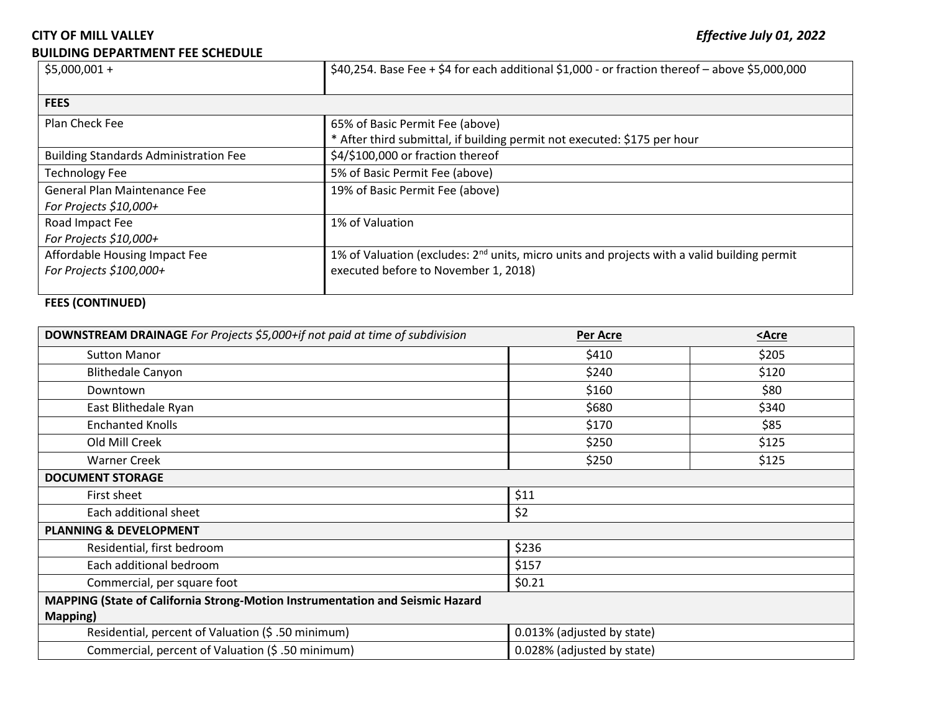## **BUILDING DEPARTMENT FEE SCHEDULE**

| \$5,000,001 + | \$40,254. Base Fee + \$4 for each additional \$1,000 - or fraction thereof - above \$5,000,000 |
|---------------|------------------------------------------------------------------------------------------------|
| <b>FEES</b>   |                                                                                                |

| Plan Check Fee                               | 65% of Basic Permit Fee (above)                                                                  |  |
|----------------------------------------------|--------------------------------------------------------------------------------------------------|--|
|                                              | * After third submittal, if building permit not executed: \$175 per hour                         |  |
| <b>Building Standards Administration Fee</b> | \$4/\$100,000 or fraction thereof                                                                |  |
| <b>Technology Fee</b>                        | 5% of Basic Permit Fee (above)                                                                   |  |
| General Plan Maintenance Fee                 | 19% of Basic Permit Fee (above)                                                                  |  |
| For Projects \$10,000+                       |                                                                                                  |  |
| Road Impact Fee                              | 1% of Valuation                                                                                  |  |
| For Projects \$10,000+                       |                                                                                                  |  |
| Affordable Housing Impact Fee                | 1% of Valuation (excludes: $2^{nd}$ units, micro units and projects with a valid building permit |  |
| For Projects \$100,000+                      | executed before to November 1, 2018)                                                             |  |
|                                              |                                                                                                  |  |

# **FEES (CONTINUED)**

| DOWNSTREAM DRAINAGE For Projects \$5,000+if not paid at time of subdivision   | Per Acre                   | <acre< th=""></acre<> |  |  |
|-------------------------------------------------------------------------------|----------------------------|-----------------------|--|--|
| <b>Sutton Manor</b>                                                           | \$410                      | \$205                 |  |  |
| <b>Blithedale Canyon</b>                                                      | \$240                      | \$120                 |  |  |
| Downtown                                                                      | \$160                      | \$80                  |  |  |
| East Blithedale Ryan                                                          | \$680                      | \$340                 |  |  |
| <b>Enchanted Knolls</b>                                                       | \$170                      | \$85                  |  |  |
| Old Mill Creek                                                                | \$250                      | \$125                 |  |  |
| <b>Warner Creek</b>                                                           | \$250                      | \$125                 |  |  |
| <b>DOCUMENT STORAGE</b>                                                       |                            |                       |  |  |
| First sheet                                                                   | \$11                       |                       |  |  |
| Each additional sheet                                                         | \$2                        |                       |  |  |
| <b>PLANNING &amp; DEVELOPMENT</b>                                             |                            |                       |  |  |
| Residential, first bedroom                                                    | \$236                      |                       |  |  |
| Each additional bedroom                                                       | \$157                      |                       |  |  |
| Commercial, per square foot                                                   | \$0.21                     |                       |  |  |
| MAPPING (State of California Strong-Motion Instrumentation and Seismic Hazard |                            |                       |  |  |
| Mapping)                                                                      |                            |                       |  |  |
| Residential, percent of Valuation (\$.50 minimum)                             | 0.013% (adjusted by state) |                       |  |  |
| Commercial, percent of Valuation (\$ .50 minimum)                             | 0.028% (adjusted by state) |                       |  |  |